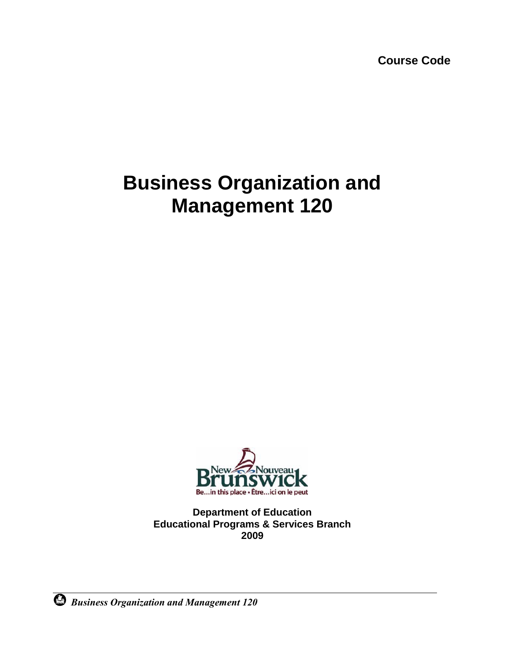**Course Code**

# **Business Organization and Management 120**



**Department of Education Educational Programs & Services Branch 2009**

*Business Organization and Management 120*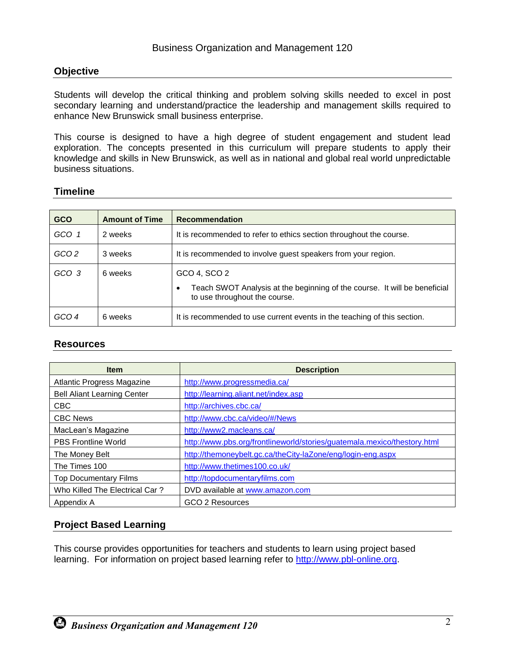#### **Objective**

Students will develop the critical thinking and problem solving skills needed to excel in post secondary learning and understand/practice the leadership and management skills required to enhance New Brunswick small business enterprise.

This course is designed to have a high degree of student engagement and student lead exploration. The concepts presented in this curriculum will prepare students to apply their knowledge and skills in New Brunswick, as well as in national and global real world unpredictable business situations.

#### **Timeline**

| <b>GCO</b>       | <b>Amount of Time</b> | <b>Recommendation</b>                                                                     |
|------------------|-----------------------|-------------------------------------------------------------------------------------------|
| GCO 1            | 2 weeks               | It is recommended to refer to ethics section throughout the course.                       |
| GCO <sub>2</sub> | 3 weeks               | It is recommended to involve guest speakers from your region.                             |
| GCO 3            | 6 weeks               | GCO 4, SCO 2<br>Teach SWOT Analysis at the beginning of the course. It will be beneficial |
|                  |                       | to use throughout the course.                                                             |
| GCO 4            | 6 weeks               | It is recommended to use current events in the teaching of this section.                  |

#### **Resources**

| <b>Item</b>                        | <b>Description</b>                                                       |
|------------------------------------|--------------------------------------------------------------------------|
| <b>Atlantic Progress Magazine</b>  | http://www.progressmedia.ca/                                             |
| <b>Bell Aliant Learning Center</b> | http://learning.aliant.net/index.asp                                     |
| <b>CBC</b>                         | http://archives.cbc.ca/                                                  |
| <b>CBC News</b>                    | http://www.cbc.ca/video/#/News                                           |
| MacLean's Magazine                 | http://www2.macleans.ca/                                                 |
| <b>PBS Frontline World</b>         | http://www.pbs.org/frontlineworld/stories/guatemala.mexico/thestory.html |
| The Money Belt                     | http://themoneybelt.gc.ca/theCity-laZone/eng/login-eng.aspx              |
| The Times 100                      | http://www.thetimes100.co.uk/                                            |
| <b>Top Documentary Films</b>       | http://topdocumentaryfilms.com                                           |
| Who Killed The Electrical Car?     | DVD available at www.amazon.com                                          |
| Appendix A                         | GCO 2 Resources                                                          |

#### **Project Based Learning**

This course provides opportunities for teachers and students to learn using project based learning. For information on project based learning refer to [http://www.pbl-online.org.](http://www.pbl-online.org/)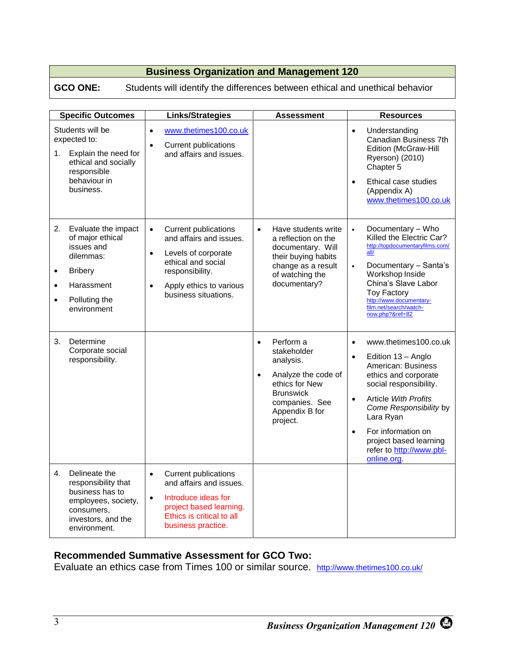### **GCO ONE:** Students will identify the differences between ethical and unethical behavior

|           | <b>Specific Outcomes</b>                                                                                                              | <b>Links/Strategies</b>                                                                                                                                                                                          |                        | Assessment                                                                                                                                         |                                                  | <b>Resources</b>                                                                                                                                                                                                                                                                     |
|-----------|---------------------------------------------------------------------------------------------------------------------------------------|------------------------------------------------------------------------------------------------------------------------------------------------------------------------------------------------------------------|------------------------|----------------------------------------------------------------------------------------------------------------------------------------------------|--------------------------------------------------|--------------------------------------------------------------------------------------------------------------------------------------------------------------------------------------------------------------------------------------------------------------------------------------|
| 1.        | Students will be<br>expected to:<br>Explain the need for<br>ethical and socially<br>responsible<br>behaviour in<br>business.          | www.thetimes100.co.uk<br>$\bullet$<br><b>Current publications</b><br>$\bullet$<br>and affairs and issues.                                                                                                        |                        |                                                                                                                                                    | $\bullet$<br>$\bullet$                           | Understanding<br>Canadian Business 7th<br><b>Edition (McGraw-Hill</b><br>Ryerson) (2010)<br>Chapter 5<br>Ethical case studies<br>(Appendix A)<br>www.thetimes100.co.uk                                                                                                               |
| $\bullet$ | 2. Evaluate the impact<br>of major ethical<br>issues and<br>dilemmas:<br><b>Bribery</b><br>Harassment<br>Polluting the<br>environment | <b>Current publications</b><br>$\bullet$<br>and affairs and issues.<br>Levels of corporate<br>$\bullet$<br>ethical and social<br>responsibility.<br>Apply ethics to various<br>$\bullet$<br>business situations. | $\bullet$              | Have students write<br>a reflection on the<br>documentary. Will<br>their buying habits<br>change as a result<br>of watching the<br>documentary?    | $\bullet$<br>$\bullet$                           | Documentary - Who<br>Killed the Electric Car?<br>http://topdocumentarvfilms.com/<br>all/<br>Documentary - Santa's<br>Workshop Inside<br>China's Slave Labor<br><b>Toy Factory</b><br>http://www.documentary-<br>film.net/search/watch-<br>now.php?&ref=82                            |
| 3.        | Determine<br>Corporate social<br>responsibility.                                                                                      |                                                                                                                                                                                                                  | $\bullet$<br>$\bullet$ | Perform a<br>stakeholder<br>analysis.<br>Analyze the code of<br>ethics for New<br><b>Brunswick</b><br>companies. See<br>Appendix B for<br>project. | $\bullet$<br>$\bullet$<br>$\bullet$<br>$\bullet$ | www.thetimes100.co.uk<br>Edition 13 - Anglo<br>American: Business<br>ethics and corporate<br>social responsibility.<br><b>Article With Profits</b><br>Come Responsibility by<br>Lara Ryan<br>For information on<br>project based learning<br>refer to http://www.pbl-<br>online.org. |
| 4.        | Delineate the<br>responsibility that<br>business has to<br>employees, society,<br>consumers,<br>investors, and the<br>environment.    | <b>Current publications</b><br>$\bullet$<br>and affairs and issues.<br>Introduce ideas for<br>$\bullet$<br>project based learning.<br>Ethics is critical to all<br>business practice.                            |                        |                                                                                                                                                    |                                                  |                                                                                                                                                                                                                                                                                      |

## **Recommended Summative Assessment for GCO Two:**

Evaluate an ethics case from Times 100 or similar source. <http://www.thetimes100.co.uk/>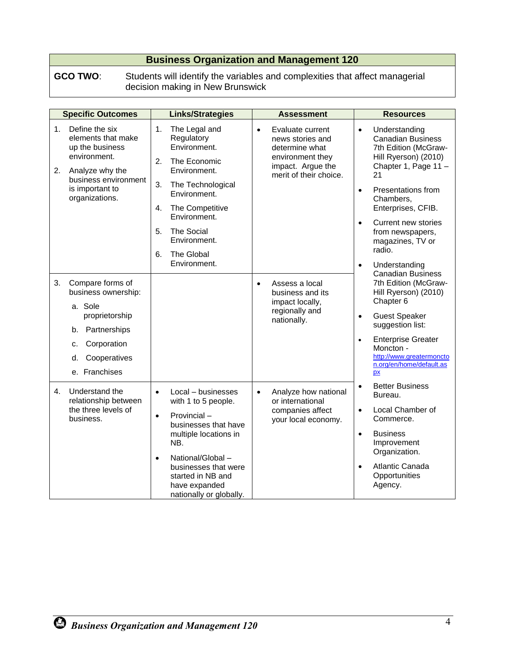**GCO TWO**: Students will identify the variables and complexities that affect managerial decision making in New Brunswick

|          | <b>Specific Outcomes</b>                                                                                                                                | <b>Links/Strategies</b>                                                                                                                                                                                                                                               | <b>Assessment</b>                                                                                                                      | <b>Resources</b>                                                                                                                                                                                                                                                                                                               |
|----------|---------------------------------------------------------------------------------------------------------------------------------------------------------|-----------------------------------------------------------------------------------------------------------------------------------------------------------------------------------------------------------------------------------------------------------------------|----------------------------------------------------------------------------------------------------------------------------------------|--------------------------------------------------------------------------------------------------------------------------------------------------------------------------------------------------------------------------------------------------------------------------------------------------------------------------------|
| 1.<br>2. | Define the six<br>elements that make<br>up the business<br>environment.<br>Analyze why the<br>business environment<br>is important to<br>organizations. | The Legal and<br>1.<br>Regulatory<br>Environment.<br>2.<br>The Economic<br>Environment.<br>3.<br>The Technological<br>Environment.<br>4.<br>The Competitive<br>Environment.<br>5.<br><b>The Social</b><br>Environment.<br>The Global<br>6.<br>Environment.            | Evaluate current<br>$\bullet$<br>news stories and<br>determine what<br>environment they<br>impact. Argue the<br>merit of their choice. | Understanding<br>$\bullet$<br><b>Canadian Business</b><br>7th Edition (McGraw-<br>Hill Ryerson) (2010)<br>Chapter 1, Page 11 -<br>21<br>Presentations from<br>$\bullet$<br>Chambers,<br>Enterprises, CFIB.<br>Current new stories<br>$\bullet$<br>from newspapers,<br>magazines, TV or<br>radio.<br>Understanding<br>$\bullet$ |
| 3.       | Compare forms of<br>business ownership:<br>a. Sole<br>proprietorship<br>Partnerships<br>b.<br>Corporation<br>c.<br>Cooperatives<br>d.<br>e. Franchises  |                                                                                                                                                                                                                                                                       | Assess a local<br>$\bullet$<br>business and its<br>impact locally,<br>regionally and<br>nationally.                                    | <b>Canadian Business</b><br>7th Edition (McGraw-<br>Hill Ryerson) (2010)<br>Chapter 6<br><b>Guest Speaker</b><br>$\bullet$<br>suggestion list:<br><b>Enterprise Greater</b><br>$\bullet$<br>Moncton -<br>http://www.greatermoncto<br>n.org/en/home/default.as<br><b>px</b>                                                     |
| 4.       | Understand the<br>relationship between<br>the three levels of<br>business.                                                                              | Local – businesses<br>$\bullet$<br>with 1 to 5 people.<br>Provincial-<br>$\bullet$<br>businesses that have<br>multiple locations in<br>NB.<br>National/Global -<br>$\bullet$<br>businesses that were<br>started in NB and<br>have expanded<br>nationally or globally. | Analyze how national<br>$\bullet$<br>or international<br>companies affect<br>your local economy.                                       | <b>Better Business</b><br>$\bullet$<br>Bureau.<br>Local Chamber of<br>$\bullet$<br>Commerce.<br><b>Business</b><br>$\bullet$<br>Improvement<br>Organization.<br>Atlantic Canada<br>$\bullet$<br>Opportunities<br>Agency.                                                                                                       |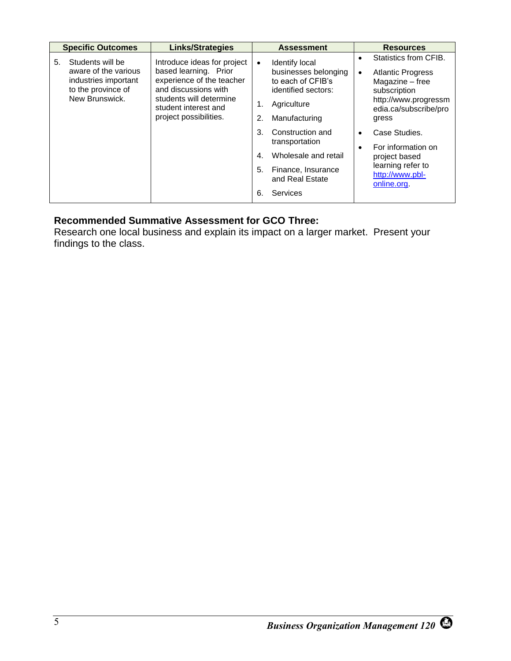|    | <b>Specific Outcomes</b>                                                                                 | <b>Links/Strategies</b>                                                                                                                                                                |                                  | <b>Assessment</b>                                                                                                  |                | <b>Resources</b>                                                                                                                               |
|----|----------------------------------------------------------------------------------------------------------|----------------------------------------------------------------------------------------------------------------------------------------------------------------------------------------|----------------------------------|--------------------------------------------------------------------------------------------------------------------|----------------|------------------------------------------------------------------------------------------------------------------------------------------------|
| 5. | Students will be<br>aware of the various<br>industries important<br>to the province of<br>New Brunswick. | Introduce ideas for project<br>based learning. Prior<br>experience of the teacher<br>and discussions with<br>students will determine<br>student interest and<br>project possibilities. | $\bullet$<br>1.<br>2.            | Identify local<br>businesses belonging<br>to each of CFIB's<br>identified sectors:<br>Agriculture<br>Manufacturing | $\bullet$<br>٠ | Statistics from CFIB.<br><b>Atlantic Progress</b><br>Magazine - free<br>subscription<br>http://www.progressm<br>edia.ca/subscribe/pro<br>gress |
|    |                                                                                                          |                                                                                                                                                                                        | 3.<br>$\mathbf{4}$ .<br>5.<br>6. | Construction and<br>transportation<br>Wholesale and retail<br>Finance, Insurance<br>and Real Estate<br>Services    |                | Case Studies.<br>For information on<br>project based<br>learning refer to<br>http://www.pbl-<br>online.org.                                    |

## **Recommended Summative Assessment for GCO Three:**

Research one local business and explain its impact on a larger market. Present your findings to the class.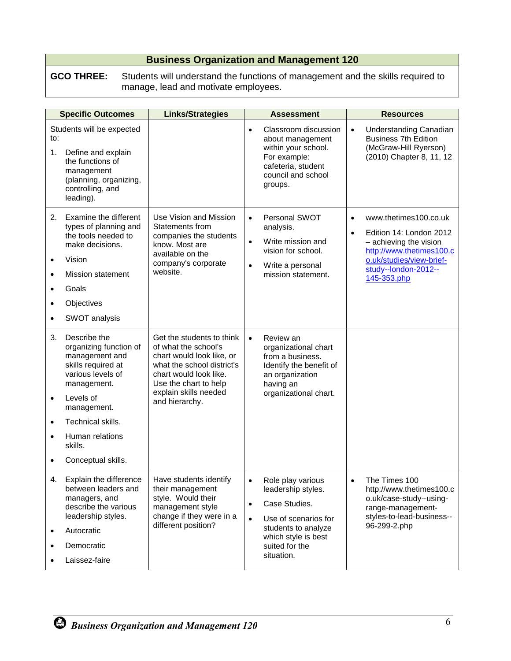#### **GCO THREE:** Students will understand the functions of management and the skills required to manage, lead and motivate employees.

|                                                                     | <b>Specific Outcomes</b>                                                                                                                                                                                                | <b>Links/Strategies</b>                                                                                                                                                                                    |                                     | <b>Assessment</b>                                                                                                                                              |                        | <b>Resources</b>                                                                                                                                                          |
|---------------------------------------------------------------------|-------------------------------------------------------------------------------------------------------------------------------------------------------------------------------------------------------------------------|------------------------------------------------------------------------------------------------------------------------------------------------------------------------------------------------------------|-------------------------------------|----------------------------------------------------------------------------------------------------------------------------------------------------------------|------------------------|---------------------------------------------------------------------------------------------------------------------------------------------------------------------------|
| to:<br>1.                                                           | Students will be expected<br>Define and explain<br>the functions of<br>management<br>(planning, organizing,<br>controlling, and<br>leading).                                                                            |                                                                                                                                                                                                            | $\bullet$                           | Classroom discussion<br>about management<br>within your school.<br>For example:<br>cafeteria, student<br>council and school<br>groups.                         | $\bullet$              | Understanding Canadian<br><b>Business 7th Edition</b><br>(McGraw-Hill Ryerson)<br>(2010) Chapter 8, 11, 12                                                                |
| 2.<br>$\bullet$<br>$\bullet$<br>$\bullet$<br>$\bullet$<br>$\bullet$ | Examine the different<br>types of planning and<br>the tools needed to<br>make decisions.<br>Vision<br><b>Mission statement</b><br>Goals<br>Objectives<br>SWOT analysis                                                  | Use Vision and Mission<br>Statements from<br>companies the students<br>know. Most are<br>available on the<br>company's corporate<br>website.                                                               | $\bullet$<br>$\bullet$<br>$\bullet$ | Personal SWOT<br>analysis.<br>Write mission and<br>vision for school.<br>Write a personal<br>mission statement.                                                | $\bullet$<br>$\bullet$ | www.thetimes100.co.uk<br>Edition 14: London 2012<br>- achieving the vision<br>http://www.thetimes100.c<br>o.uk/studies/view-brief-<br>study--london-2012--<br>145-353.php |
| 3.<br>$\bullet$<br>$\bullet$<br>$\bullet$<br>$\bullet$              | Describe the<br>organizing function of<br>management and<br>skills required at<br>various levels of<br>management.<br>Levels of<br>management.<br>Technical skills.<br>Human relations<br>skills.<br>Conceptual skills. | Get the students to think<br>of what the school's<br>chart would look like, or<br>what the school district's<br>chart would look like.<br>Use the chart to help<br>explain skills needed<br>and hierarchy. | $\bullet$                           | Review an<br>organizational chart<br>from a business.<br>Identify the benefit of<br>an organization<br>having an<br>organizational chart.                      |                        |                                                                                                                                                                           |
| 4.<br>$\bullet$                                                     | Explain the difference<br>between leaders and<br>managers, and<br>describe the various<br>leadership styles.<br>Autocratic<br>Democratic<br>Laissez-faire                                                               | Have students identify<br>their management<br>style. Would their<br>management style<br>change if they were in a<br>different position?                                                                    | $\bullet$<br>$\bullet$<br>$\bullet$ | Role play various<br>leadership styles.<br>Case Studies.<br>Use of scenarios for<br>students to analyze<br>which style is best<br>suited for the<br>situation. | $\bullet$              | The Times 100<br>http://www.thetimes100.c<br>o.uk/case-study--using-<br>range-management-<br>styles-to-lead-business--<br>96-299-2.php                                    |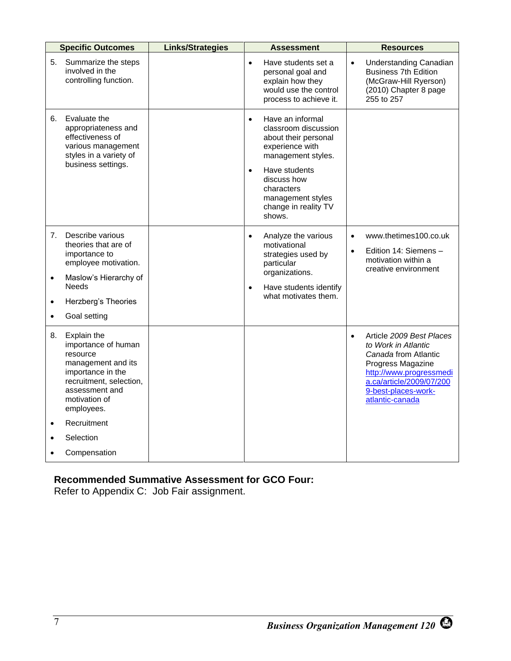| <b>Specific Outcomes</b>                                                                                                                                                                                       | <b>Links/Strategies</b> | <b>Assessment</b>                                                                                                                                                                                                                        | Resources                                                                                                                                                                                                  |
|----------------------------------------------------------------------------------------------------------------------------------------------------------------------------------------------------------------|-------------------------|------------------------------------------------------------------------------------------------------------------------------------------------------------------------------------------------------------------------------------------|------------------------------------------------------------------------------------------------------------------------------------------------------------------------------------------------------------|
| Summarize the steps<br>5.<br>involved in the<br>controlling function.                                                                                                                                          |                         | Have students set a<br>$\bullet$<br>personal goal and<br>explain how they<br>would use the control<br>process to achieve it.                                                                                                             | Understanding Canadian<br>$\bullet$<br><b>Business 7th Edition</b><br>(McGraw-Hill Ryerson)<br>(2010) Chapter 8 page<br>255 to 257                                                                         |
| 6.<br>Evaluate the<br>appropriateness and<br>effectiveness of<br>various management<br>styles in a variety of<br>business settings.                                                                            |                         | Have an informal<br>$\bullet$<br>classroom discussion<br>about their personal<br>experience with<br>management styles.<br>Have students<br>$\bullet$<br>discuss how<br>characters<br>management styles<br>change in reality TV<br>shows. |                                                                                                                                                                                                            |
| Describe various<br>7.<br>theories that are of<br>importance to<br>employee motivation.<br>Maslow's Hierarchy of<br>$\bullet$<br><b>Needs</b><br>Herzberg's Theories<br>$\bullet$<br>Goal setting<br>$\bullet$ |                         | Analyze the various<br>$\bullet$<br>motivational<br>strategies used by<br>particular<br>organizations.<br>Have students identify<br>$\bullet$<br>what motivates them.                                                                    | www.thetimes100.co.uk<br>$\bullet$<br>Edition 14: Siemens -<br>$\bullet$<br>motivation within a<br>creative environment                                                                                    |
| Explain the<br>8.<br>importance of human<br>resource<br>management and its<br>importance in the<br>recruitment, selection,<br>assessment and<br>motivation of<br>employees.<br>Recruitment<br>$\bullet$        |                         |                                                                                                                                                                                                                                          | Article 2009 Best Places<br>$\bullet$<br>to Work in Atlantic<br>Canada from Atlantic<br>Progress Magazine<br>http://www.progressmedi<br>a.ca/article/2009/07/200<br>9-best-places-work-<br>atlantic-canada |
| Selection                                                                                                                                                                                                      |                         |                                                                                                                                                                                                                                          |                                                                                                                                                                                                            |
| Compensation                                                                                                                                                                                                   |                         |                                                                                                                                                                                                                                          |                                                                                                                                                                                                            |

## **Recommended Summative Assessment for GCO Four:**

Refer to Appendix C: Job Fair assignment.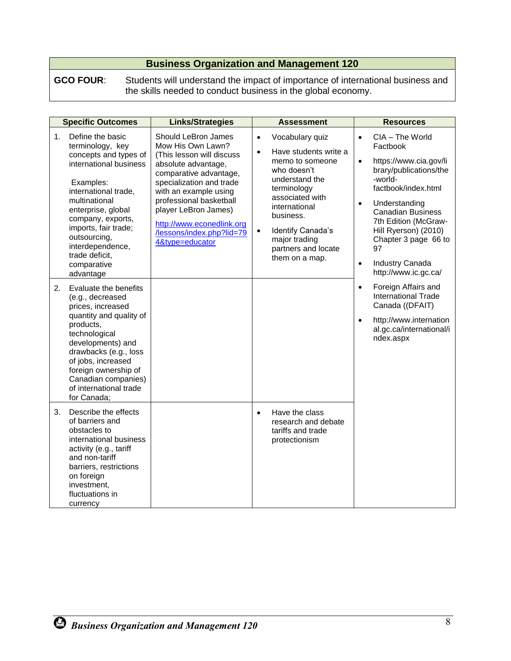**GCO FOUR**: Students will understand the impact of importance of international business and the skills needed to conduct business in the global economy.

|    | <b>Specific Outcomes</b>                                                                                                                                                                                                                                                                           | <b>Links/Strategies</b>                                                                                                                                                                                                                                                                                     |                                     | <b>Assessment</b>                                                                                                                                                                                                                           |                                                  | <b>Resources</b>                                                                                                                                                                                                                                                                        |
|----|----------------------------------------------------------------------------------------------------------------------------------------------------------------------------------------------------------------------------------------------------------------------------------------------------|-------------------------------------------------------------------------------------------------------------------------------------------------------------------------------------------------------------------------------------------------------------------------------------------------------------|-------------------------------------|---------------------------------------------------------------------------------------------------------------------------------------------------------------------------------------------------------------------------------------------|--------------------------------------------------|-----------------------------------------------------------------------------------------------------------------------------------------------------------------------------------------------------------------------------------------------------------------------------------------|
| 1. | Define the basic<br>terminology, key<br>concepts and types of<br>international business<br>Examples:<br>international trade,<br>multinational<br>enterprise, global<br>company, exports,<br>imports, fair trade;<br>outsourcing,<br>interdependence,<br>trade deficit,<br>comparative<br>advantage | Should LeBron James<br>Mow His Own Lawn?<br>(This lesson will discuss<br>absolute advantage,<br>comparative advantage,<br>specialization and trade<br>with an example using<br>professional basketball<br>player LeBron James)<br>http://www.econedlink.org<br>/lessons/index.php?lid=79<br>4&type=educator | $\bullet$<br>$\bullet$<br>$\bullet$ | Vocabulary quiz<br>Have students write a<br>memo to someone<br>who doesn't<br>understand the<br>terminology<br>associated with<br>international<br>business.<br>Identify Canada's<br>major trading<br>partners and locate<br>them on a map. | $\bullet$<br>$\bullet$<br>$\bullet$<br>$\bullet$ | CIA - The World<br>Factbook<br>https://www.cia.gov/li<br>brary/publications/the<br>-world-<br>factbook/index.html<br>Understanding<br><b>Canadian Business</b><br>7th Edition (McGraw-<br>Hill Ryerson) (2010)<br>Chapter 3 page 66 to<br>97<br>Industry Canada<br>http://www.ic.gc.ca/ |
| 2. | Evaluate the benefits<br>(e.g., decreased<br>prices, increased<br>quantity and quality of<br>products,<br>technological<br>developments) and<br>drawbacks (e.g., loss<br>of jobs, increased<br>foreign ownership of<br>Canadian companies)<br>of international trade<br>for Canada;                |                                                                                                                                                                                                                                                                                                             |                                     |                                                                                                                                                                                                                                             | $\bullet$<br>$\bullet$                           | Foreign Affairs and<br>International Trade<br>Canada ((DFAIT)<br>http://www.internation<br>al.gc.ca/international/i<br>ndex.aspx                                                                                                                                                        |
| 3. | Describe the effects<br>of barriers and<br>obstacles to<br>international business<br>activity (e.g., tariff<br>and non-tariff<br>barriers, restrictions<br>on foreign<br>investment,<br>fluctuations in<br>currency                                                                                |                                                                                                                                                                                                                                                                                                             | $\bullet$                           | Have the class<br>research and debate<br>tariffs and trade<br>protectionism                                                                                                                                                                 |                                                  |                                                                                                                                                                                                                                                                                         |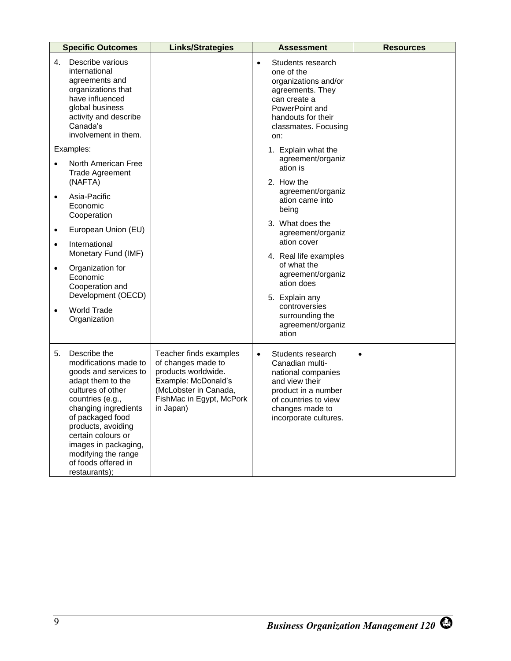|           | <b>Specific Outcomes</b>                                                                                                                                                                                                                                                                                    | <b>Links/Strategies</b>                                                                                                                                      | <b>Assessment</b>                                                                                                                                                                    | <b>Resources</b> |
|-----------|-------------------------------------------------------------------------------------------------------------------------------------------------------------------------------------------------------------------------------------------------------------------------------------------------------------|--------------------------------------------------------------------------------------------------------------------------------------------------------------|--------------------------------------------------------------------------------------------------------------------------------------------------------------------------------------|------------------|
| 4.        | Describe various<br>international<br>agreements and<br>organizations that<br>have influenced<br>global business<br>activity and describe<br>Canada's<br>involvement in them.                                                                                                                                |                                                                                                                                                              | Students research<br>$\bullet$<br>one of the<br>organizations and/or<br>agreements. They<br>can create a<br>PowerPoint and<br>handouts for their<br>classmates. Focusing<br>on:      |                  |
|           | Examples:                                                                                                                                                                                                                                                                                                   |                                                                                                                                                              | 1. Explain what the                                                                                                                                                                  |                  |
|           | North American Free<br><b>Trade Agreement</b><br>(NAFTA)                                                                                                                                                                                                                                                    |                                                                                                                                                              | agreement/organiz<br>ation is<br>2. How the                                                                                                                                          |                  |
| $\bullet$ | Asia-Pacific<br>Economic<br>Cooperation                                                                                                                                                                                                                                                                     |                                                                                                                                                              | agreement/organiz<br>ation came into<br>being                                                                                                                                        |                  |
| $\bullet$ | European Union (EU)                                                                                                                                                                                                                                                                                         |                                                                                                                                                              | 3. What does the<br>agreement/organiz                                                                                                                                                |                  |
| $\bullet$ | International<br>Monetary Fund (IMF)                                                                                                                                                                                                                                                                        |                                                                                                                                                              | ation cover<br>4. Real life examples                                                                                                                                                 |                  |
| $\bullet$ | Organization for<br>Economic<br>Cooperation and                                                                                                                                                                                                                                                             |                                                                                                                                                              | of what the<br>agreement/organiz<br>ation does                                                                                                                                       |                  |
| $\bullet$ | Development (OECD)<br>World Trade<br>Organization                                                                                                                                                                                                                                                           |                                                                                                                                                              | 5. Explain any<br>controversies<br>surrounding the<br>agreement/organiz<br>ation                                                                                                     |                  |
| 5.        | Describe the<br>modifications made to<br>goods and services to<br>adapt them to the<br>cultures of other<br>countries (e.g.,<br>changing ingredients<br>of packaged food<br>products, avoiding<br>certain colours or<br>images in packaging,<br>modifying the range<br>of foods offered in<br>restaurants); | Teacher finds examples<br>of changes made to<br>products worldwide.<br>Example: McDonald's<br>(McLobster in Canada,<br>FishMac in Egypt, McPork<br>in Japan) | Students research<br>$\bullet$<br>Canadian multi-<br>national companies<br>and view their<br>product in a number<br>of countries to view<br>changes made to<br>incorporate cultures. | $\bullet$        |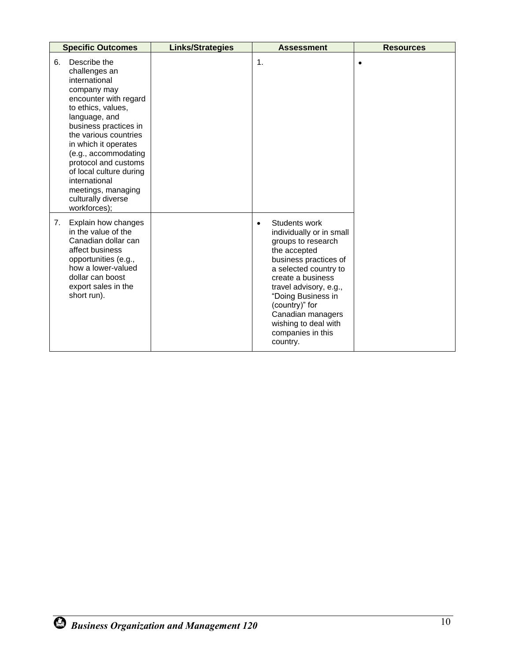| <b>Specific Outcomes</b>                                                                                                                                                                                                                                                                                                                                              | <b>Links/Strategies</b> | <b>Assessment</b>                                                                                                                                                                                                                                                                                                   | <b>Resources</b> |
|-----------------------------------------------------------------------------------------------------------------------------------------------------------------------------------------------------------------------------------------------------------------------------------------------------------------------------------------------------------------------|-------------------------|---------------------------------------------------------------------------------------------------------------------------------------------------------------------------------------------------------------------------------------------------------------------------------------------------------------------|------------------|
| Describe the<br>6.<br>challenges an<br>international<br>company may<br>encounter with regard<br>to ethics, values,<br>language, and<br>business practices in<br>the various countries<br>in which it operates<br>(e.g., accommodating<br>protocol and customs<br>of local culture during<br>international<br>meetings, managing<br>culturally diverse<br>workforces); |                         | $\mathbf{1}$ .                                                                                                                                                                                                                                                                                                      |                  |
| Explain how changes<br>7.<br>in the value of the<br>Canadian dollar can<br>affect business<br>opportunities (e.g.,<br>how a lower-valued<br>dollar can boost<br>export sales in the<br>short run).                                                                                                                                                                    |                         | Students work<br>$\bullet$<br>individually or in small<br>groups to research<br>the accepted<br>business practices of<br>a selected country to<br>create a business<br>travel advisory, e.g.,<br>"Doing Business in<br>(country)" for<br>Canadian managers<br>wishing to deal with<br>companies in this<br>country. |                  |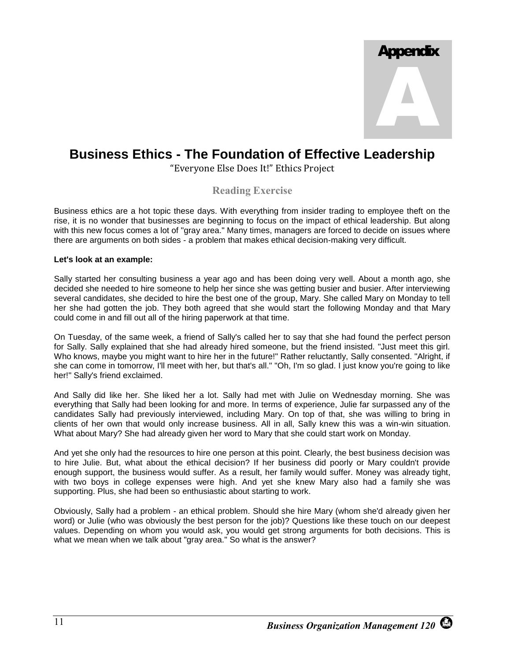

# **Business Ethics - The Foundation of Effective Leadership**

"Everyone Else Does It!" Ethics Project

#### **Reading Exercise**

Business ethics are a hot topic these days. With everything from insider trading to employee theft on the rise, it is no wonder that businesses are beginning to focus on the impact of ethical leadership. But along with this new focus comes a lot of "gray area." Many times, managers are forced to decide on issues where there are arguments on both sides - a problem that makes ethical decision-making very difficult.

#### **Let's look at an example:**

Sally started her consulting business a year ago and has been doing very well. About a month ago, she decided she needed to hire someone to help her since she was getting busier and busier. After interviewing several candidates, she decided to hire the best one of the group, Mary. She called Mary on Monday to tell her she had gotten the job. They both agreed that she would start the following Monday and that Mary could come in and fill out all of the hiring paperwork at that time.

On Tuesday, of the same week, a friend of Sally's called her to say that she had found the perfect person for Sally. Sally explained that she had already hired someone, but the friend insisted. "Just meet this girl. Who knows, maybe you might want to hire her in the future!" Rather reluctantly, Sally consented. "Alright, if she can come in tomorrow, I'll meet with her, but that's all." "Oh, I'm so glad. I just know you're going to like her!" Sally's friend exclaimed.

And Sally did like her. She liked her a lot. Sally had met with Julie on Wednesday morning. She was everything that Sally had been looking for and more. In terms of experience, Julie far surpassed any of the candidates Sally had previously interviewed, including Mary. On top of that, she was willing to bring in clients of her own that would only increase business. All in all, Sally knew this was a win-win situation. What about Mary? She had already given her word to Mary that she could start work on Monday.

And yet she only had the resources to hire one person at this point. Clearly, the best business decision was to hire Julie. But, what about the ethical decision? If her business did poorly or Mary couldn't provide enough support, the business would suffer. As a result, her family would suffer. Money was already tight, with two boys in college expenses were high. And yet she knew Mary also had a family she was supporting. Plus, she had been so enthusiastic about starting to work.

Obviously, Sally had a problem - an ethical problem. Should she hire Mary (whom she'd already given her word) or Julie (who was obviously the best person for the job)? Questions like these touch on our deepest values. Depending on whom you would ask, you would get strong arguments for both decisions. This is what we mean when we talk about "gray area." So what is the answer?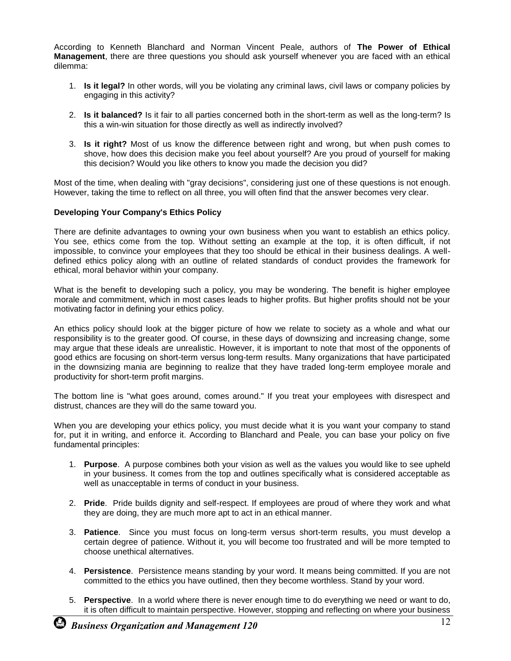According to Kenneth Blanchard and Norman Vincent Peale, authors of **The Power of Ethical Management**, there are three questions you should ask yourself whenever you are faced with an ethical dilemma:

- 1. **Is it legal?** In other words, will you be violating any criminal laws, civil laws or company policies by engaging in this activity?
- 2. **Is it balanced?** Is it fair to all parties concerned both in the short-term as well as the long-term? Is this a win-win situation for those directly as well as indirectly involved?
- 3. **Is it right?** Most of us know the difference between right and wrong, but when push comes to shove, how does this decision make you feel about yourself? Are you proud of yourself for making this decision? Would you like others to know you made the decision you did?

Most of the time, when dealing with "gray decisions", considering just one of these questions is not enough. However, taking the time to reflect on all three, you will often find that the answer becomes very clear.

#### **Developing Your Company's Ethics Policy**

There are definite advantages to owning your own business when you want to establish an ethics policy. You see, ethics come from the top. Without setting an example at the top, it is often difficult, if not impossible, to convince your employees that they too should be ethical in their business dealings. A welldefined ethics policy along with an outline of related standards of conduct provides the framework for ethical, moral behavior within your company.

What is the benefit to developing such a policy, you may be wondering. The benefit is higher employee morale and commitment, which in most cases leads to higher profits. But higher profits should not be your motivating factor in defining your ethics policy.

An ethics policy should look at the bigger picture of how we relate to society as a whole and what our responsibility is to the greater good. Of course, in these days of downsizing and increasing change, some may argue that these ideals are unrealistic. However, it is important to note that most of the opponents of good ethics are focusing on short-term versus long-term results. Many organizations that have participated in the downsizing mania are beginning to realize that they have traded long-term employee morale and productivity for short-term profit margins.

The bottom line is "what goes around, comes around." If you treat your employees with disrespect and distrust, chances are they will do the same toward you.

When you are developing your ethics policy, you must decide what it is you want your company to stand for, put it in writing, and enforce it. According to Blanchard and Peale, you can base your policy on five fundamental principles:

- 1. **Purpose**. A purpose combines both your vision as well as the values you would like to see upheld in your business. It comes from the top and outlines specifically what is considered acceptable as well as unacceptable in terms of conduct in your business.
- 2. **Pride**. Pride builds dignity and self-respect. If employees are proud of where they work and what they are doing, they are much more apt to act in an ethical manner.
- 3. **Patience**. Since you must focus on long-term versus short-term results, you must develop a certain degree of patience. Without it, you will become too frustrated and will be more tempted to choose unethical alternatives.
- 4. **Persistence**. Persistence means standing by your word. It means being committed. If you are not committed to the ethics you have outlined, then they become worthless. Stand by your word.
- 5. **Perspective**. In a world where there is never enough time to do everything we need or want to do, it is often difficult to maintain perspective. However, stopping and reflecting on where your business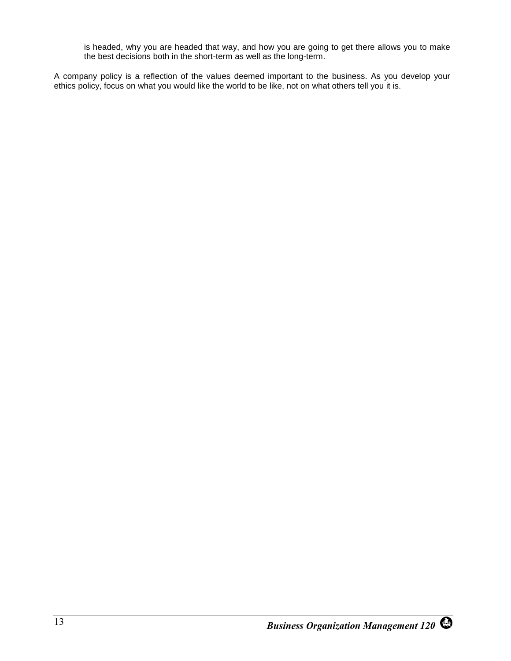is headed, why you are headed that way, and how you are going to get there allows you to make the best decisions both in the short-term as well as the long-term.

A company policy is a reflection of the values deemed important to the business. As you develop your ethics policy, focus on what you would like the world to be like, not on what others tell you it is.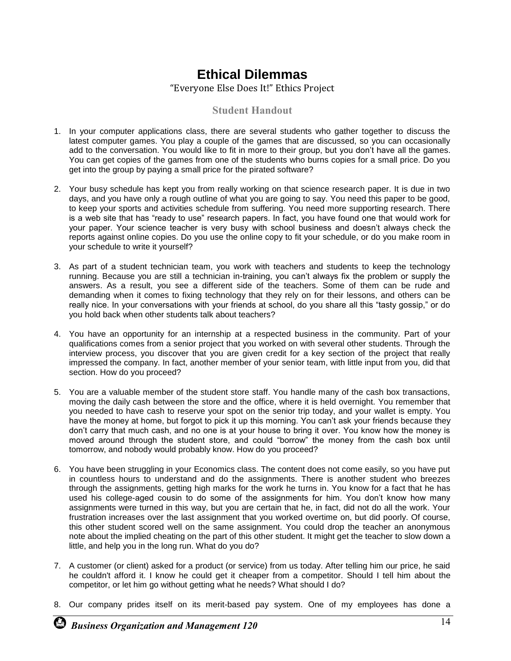# **Ethical Dilemmas**

"Everyone Else Does It!" Ethics Project

#### **Student Handout**

- 1. In your computer applications class, there are several students who gather together to discuss the latest computer games. You play a couple of the games that are discussed, so you can occasionally add to the conversation. You would like to fit in more to their group, but you don't have all the games. You can get copies of the games from one of the students who burns copies for a small price. Do you get into the group by paying a small price for the pirated software?
- 2. Your busy schedule has kept you from really working on that science research paper. It is due in two days, and you have only a rough outline of what you are going to say. You need this paper to be good, to keep your sports and activities schedule from suffering. You need more supporting research. There is a web site that has "ready to use" research papers. In fact, you have found one that would work for your paper. Your science teacher is very busy with school business and doesn't always check the reports against online copies. Do you use the online copy to fit your schedule, or do you make room in your schedule to write it yourself?
- 3. As part of a student technician team, you work with teachers and students to keep the technology running. Because you are still a technician in-training, you can't always fix the problem or supply the answers. As a result, you see a different side of the teachers. Some of them can be rude and demanding when it comes to fixing technology that they rely on for their lessons, and others can be really nice. In your conversations with your friends at school, do you share all this "tasty gossip," or do you hold back when other students talk about teachers?
- 4. You have an opportunity for an internship at a respected business in the community. Part of your qualifications comes from a senior project that you worked on with several other students. Through the interview process, you discover that you are given credit for a key section of the project that really impressed the company. In fact, another member of your senior team, with little input from you, did that section. How do you proceed?
- 5. You are a valuable member of the student store staff. You handle many of the cash box transactions, moving the daily cash between the store and the office, where it is held overnight. You remember that you needed to have cash to reserve your spot on the senior trip today, and your wallet is empty. You have the money at home, but forgot to pick it up this morning. You can't ask your friends because they don't carry that much cash, and no one is at your house to bring it over. You know how the money is moved around through the student store, and could "borrow" the money from the cash box until tomorrow, and nobody would probably know. How do you proceed?
- 6. You have been struggling in your Economics class. The content does not come easily, so you have put in countless hours to understand and do the assignments. There is another student who breezes through the assignments, getting high marks for the work he turns in. You know for a fact that he has used his college-aged cousin to do some of the assignments for him. You don't know how many assignments were turned in this way, but you are certain that he, in fact, did not do all the work. Your frustration increases over the last assignment that you worked overtime on, but did poorly. Of course, this other student scored well on the same assignment. You could drop the teacher an anonymous note about the implied cheating on the part of this other student. It might get the teacher to slow down a little, and help you in the long run. What do you do?
- 7. A customer (or client) asked for a product (or service) from us today. After telling him our price, he said he couldn't afford it. I know he could get it cheaper from a competitor. Should I tell him about the competitor, or let him go without getting what he needs? What should I do?
- 8. Our company prides itself on its merit-based pay system. One of my employees has done a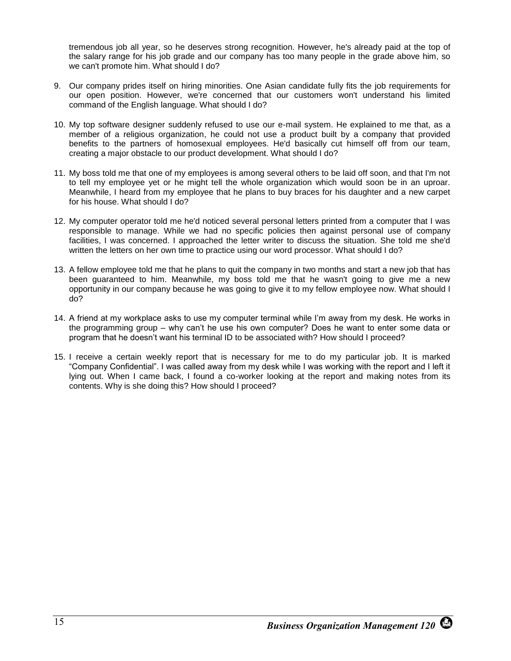tremendous job all year, so he deserves strong recognition. However, he's already paid at the top of the salary range for his job grade and our company has too many people in the grade above him, so we can't promote him. What should I do?

- 9. Our company prides itself on hiring minorities. One Asian candidate fully fits the job requirements for our open position. However, we're concerned that our customers won't understand his limited command of the English language. What should I do?
- 10. My top software designer suddenly refused to use our e-mail system. He explained to me that, as a member of a religious organization, he could not use a product built by a company that provided benefits to the partners of homosexual employees. He'd basically cut himself off from our team, creating a major obstacle to our product development. What should I do?
- 11. My boss told me that one of my employees is among several others to be laid off soon, and that I'm not to tell my employee yet or he might tell the whole organization which would soon be in an uproar. Meanwhile, I heard from my employee that he plans to buy braces for his daughter and a new carpet for his house. What should I do?
- 12. My computer operator told me he'd noticed several personal letters printed from a computer that I was responsible to manage. While we had no specific policies then against personal use of company facilities, I was concerned. I approached the letter writer to discuss the situation. She told me she'd written the letters on her own time to practice using our word processor. What should I do?
- 13. A fellow employee told me that he plans to quit the company in two months and start a new job that has been guaranteed to him. Meanwhile, my boss told me that he wasn't going to give me a new opportunity in our company because he was going to give it to my fellow employee now. What should I do?
- 14. A friend at my workplace asks to use my computer terminal while I'm away from my desk. He works in the programming group – why can't he use his own computer? Does he want to enter some data or program that he doesn't want his terminal ID to be associated with? How should I proceed?
- 15. I receive a certain weekly report that is necessary for me to do my particular job. It is marked "Company Confidential". I was called away from my desk while I was working with the report and I left it lying out. When I came back, I found a co-worker looking at the report and making notes from its contents. Why is she doing this? How should I proceed?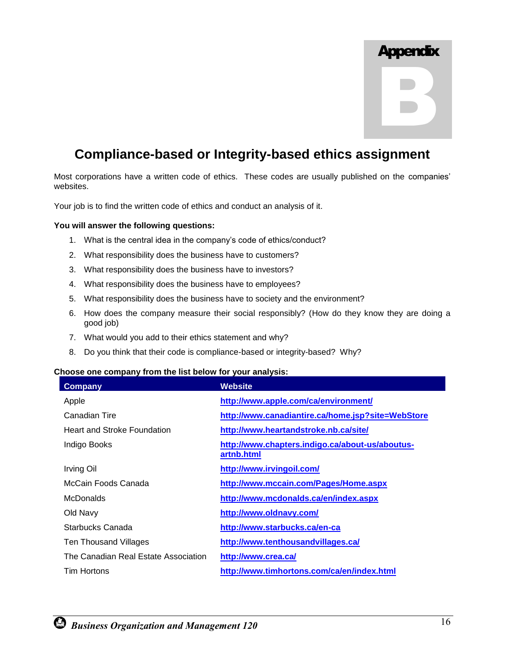

# **Compliance-based or Integrity-based ethics assignment**

Most corporations have a written code of ethics. These codes are usually published on the companies' websites.

Your job is to find the written code of ethics and conduct an analysis of it.

#### **You will answer the following questions:**

- 1. What is the central idea in the company's code of ethics/conduct?
- 2. What responsibility does the business have to customers?
- 3. What responsibility does the business have to investors?
- 4. What responsibility does the business have to employees?
- 5. What responsibility does the business have to society and the environment?
- 6. How does the company measure their social responsibly? (How do they know they are doing a good job)
- 7. What would you add to their ethics statement and why?
- 8. Do you think that their code is compliance-based or integrity-based? Why?

#### **Choose one company from the list below for your analysis:**

| Company                              | Website                                                       |
|--------------------------------------|---------------------------------------------------------------|
| Apple                                | http://www.apple.com/ca/environment/                          |
| Canadian Tire                        | http://www.canadiantire.ca/home.jsp?site=WebStore             |
| <b>Heart and Stroke Foundation</b>   | http://www.heartandstroke.nb.ca/site/                         |
| Indigo Books                         | http://www.chapters.indigo.ca/about-us/aboutus-<br>artnb.html |
| Irving Oil                           | http://www.irvingoil.com/                                     |
| McCain Foods Canada                  | http://www.mccain.com/Pages/Home.aspx                         |
| <b>McDonalds</b>                     | http://www.mcdonalds.ca/en/index.aspx                         |
| Old Navy                             | http://www.oldnavy.com/                                       |
| Starbucks Canada                     | http://www.starbucks.ca/en-ca                                 |
| Ten Thousand Villages                | http://www.tenthousandvillages.ca/                            |
| The Canadian Real Estate Association | http://www.crea.ca/                                           |
| <b>Tim Hortons</b>                   | http://www.timhortons.com/ca/en/index.html                    |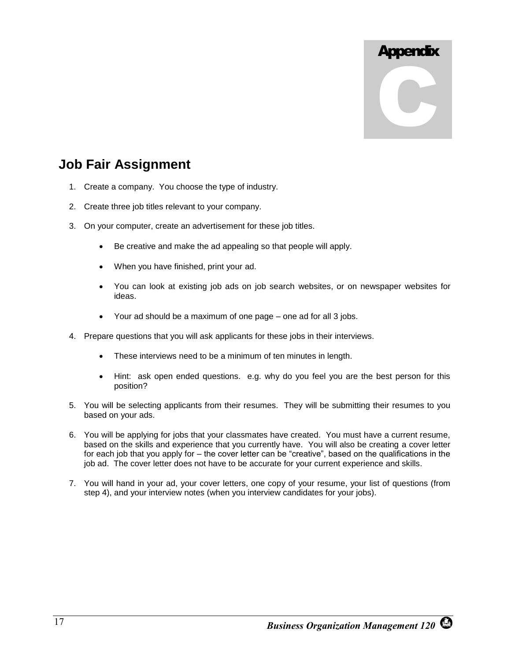

# **Job Fair Assignment**

- 1. Create a company. You choose the type of industry.
- 2. Create three job titles relevant to your company.
- 3. On your computer, create an advertisement for these job titles.
	- Be creative and make the ad appealing so that people will apply.
	- When you have finished, print your ad.
	- You can look at existing job ads on job search websites, or on newspaper websites for ideas.
	- Your ad should be a maximum of one page one ad for all 3 jobs.
- 4. Prepare questions that you will ask applicants for these jobs in their interviews.
	- These interviews need to be a minimum of ten minutes in length.
	- Hint: ask open ended questions. e.g. why do you feel you are the best person for this position?
- 5. You will be selecting applicants from their resumes. They will be submitting their resumes to you based on your ads.
- 6. You will be applying for jobs that your classmates have created. You must have a current resume, based on the skills and experience that you currently have. You will also be creating a cover letter for each job that you apply for – the cover letter can be "creative", based on the qualifications in the job ad. The cover letter does not have to be accurate for your current experience and skills.
- 7. You will hand in your ad, your cover letters, one copy of your resume, your list of questions (from step 4), and your interview notes (when you interview candidates for your jobs).